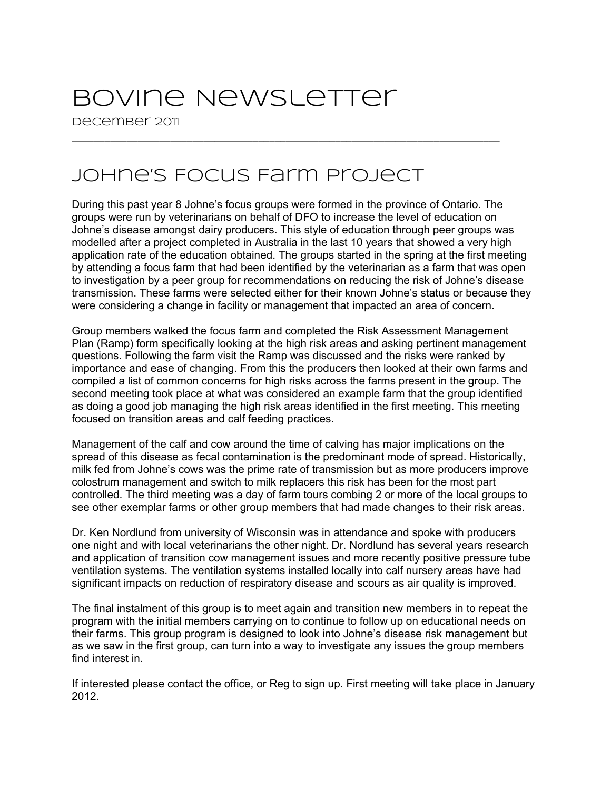## Bovine Newsletter

December 2011

## Johne's Focus Farm Project

During this past year 8 Johne's focus groups were formed in the province of Ontario. The groups were run by veterinarians on behalf of DFO to increase the level of education on Johne's disease amongst dairy producers. This style of education through peer groups was modelled after a project completed in Australia in the last 10 years that showed a very high application rate of the education obtained. The groups started in the spring at the first meeting by attending a focus farm that had been identified by the veterinarian as a farm that was open to investigation by a peer group for recommendations on reducing the risk of Johne's disease transmission. These farms were selected either for their known Johne's status or because they were considering a change in facility or management that impacted an area of concern.

\_\_\_\_\_\_\_\_\_\_\_\_\_\_\_\_\_\_\_\_\_\_\_\_\_\_\_\_\_\_\_\_\_\_\_\_\_\_\_\_\_\_\_\_\_\_\_\_\_\_\_\_\_\_\_\_\_\_\_\_\_\_\_\_\_\_\_\_\_\_\_\_\_\_\_\_\_\_

Group members walked the focus farm and completed the Risk Assessment Management Plan (Ramp) form specifically looking at the high risk areas and asking pertinent management questions. Following the farm visit the Ramp was discussed and the risks were ranked by importance and ease of changing. From this the producers then looked at their own farms and compiled a list of common concerns for high risks across the farms present in the group. The second meeting took place at what was considered an example farm that the group identified as doing a good job managing the high risk areas identified in the first meeting. This meeting focused on transition areas and calf feeding practices.

Management of the calf and cow around the time of calving has major implications on the spread of this disease as fecal contamination is the predominant mode of spread. Historically, milk fed from Johne's cows was the prime rate of transmission but as more producers improve colostrum management and switch to milk replacers this risk has been for the most part controlled. The third meeting was a day of farm tours combing 2 or more of the local groups to see other exemplar farms or other group members that had made changes to their risk areas.

Dr. Ken Nordlund from university of Wisconsin was in attendance and spoke with producers one night and with local veterinarians the other night. Dr. Nordlund has several years research and application of transition cow management issues and more recently positive pressure tube ventilation systems. The ventilation systems installed locally into calf nursery areas have had significant impacts on reduction of respiratory disease and scours as air quality is improved.

The final instalment of this group is to meet again and transition new members in to repeat the program with the initial members carrying on to continue to follow up on educational needs on their farms. This group program is designed to look into Johne's disease risk management but as we saw in the first group, can turn into a way to investigate any issues the group members find interest in.

If interested please contact the office, or Reg to sign up. First meeting will take place in January 2012.